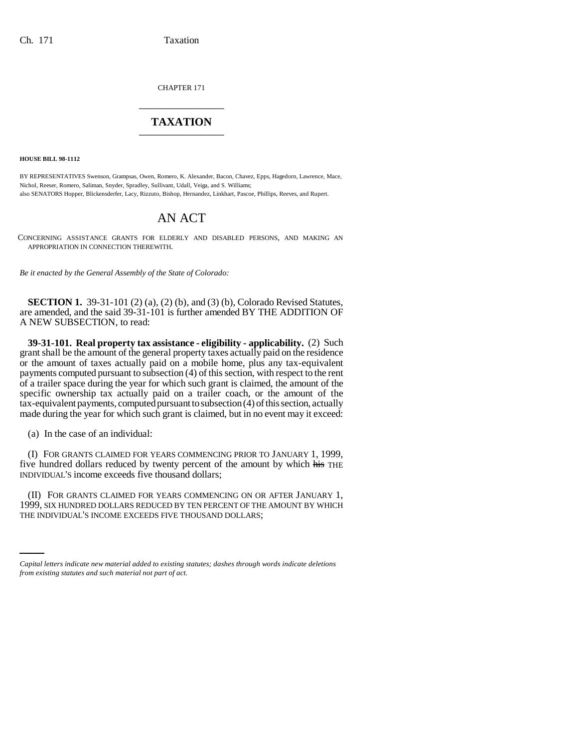CHAPTER 171 \_\_\_\_\_\_\_\_\_\_\_\_\_\_\_

## **TAXATION** \_\_\_\_\_\_\_\_\_\_\_\_\_\_\_

**HOUSE BILL 98-1112**

BY REPRESENTATIVES Swenson, Grampsas, Owen, Romero, K. Alexander, Bacon, Chavez, Epps, Hagedorn, Lawrence, Mace, Nichol, Reeser, Romero, Saliman, Snyder, Spradley, Sullivant, Udall, Veiga, and S. Williams; also SENATORS Hopper, Blickensderfer, Lacy, Rizzuto, Bishop, Hernandez, Linkhart, Pascoe, Phillips, Reeves, and Rupert.

## AN ACT

CONCERNING ASSISTANCE GRANTS FOR ELDERLY AND DISABLED PERSONS, AND MAKING AN APPROPRIATION IN CONNECTION THEREWITH.

*Be it enacted by the General Assembly of the State of Colorado:*

**SECTION 1.** 39-31-101 (2) (a), (2) (b), and (3) (b), Colorado Revised Statutes, are amended, and the said 39-31-101 is further amended BY THE ADDITION OF A NEW SUBSECTION, to read:

**39-31-101. Real property tax assistance - eligibility - applicability.** (2) Such grant shall be the amount of the general property taxes actually paid on the residence or the amount of taxes actually paid on a mobile home, plus any tax-equivalent payments computed pursuant to subsection (4) of this section, with respect to the rent of a trailer space during the year for which such grant is claimed, the amount of the specific ownership tax actually paid on a trailer coach, or the amount of the tax-equivalent payments, computed pursuant to subsection (4) of this section, actually made during the year for which such grant is claimed, but in no event may it exceed:

(a) In the case of an individual:

(I) FOR GRANTS CLAIMED FOR YEARS COMMENCING PRIOR TO JANUARY 1, 1999, five hundred dollars reduced by twenty percent of the amount by which his THE INDIVIDUAL'S income exceeds five thousand dollars;

1999, SIX HUNDRED DOLLARS REDUCED BY TEN PERCENT OF THE AMOUNT BY WHICH (II) FOR GRANTS CLAIMED FOR YEARS COMMENCING ON OR AFTER JANUARY 1, THE INDIVIDUAL'S INCOME EXCEEDS FIVE THOUSAND DOLLARS;

*Capital letters indicate new material added to existing statutes; dashes through words indicate deletions from existing statutes and such material not part of act.*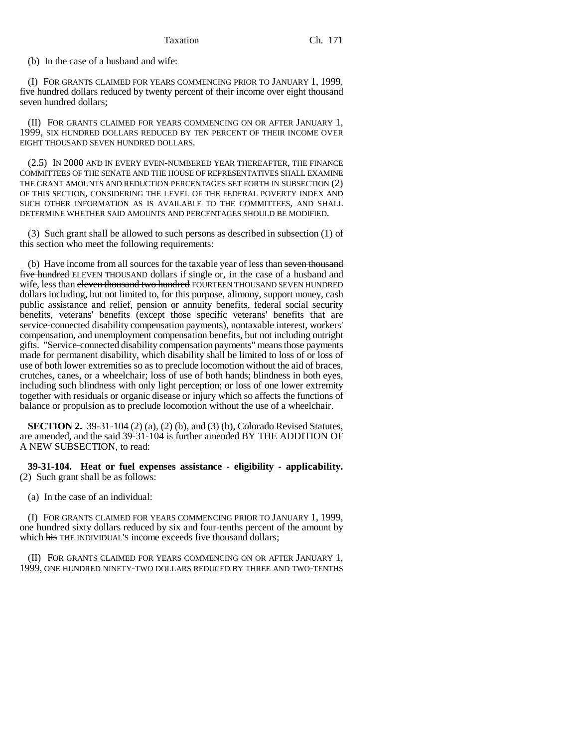(b) In the case of a husband and wife:

(I) FOR GRANTS CLAIMED FOR YEARS COMMENCING PRIOR TO JANUARY 1, 1999, five hundred dollars reduced by twenty percent of their income over eight thousand seven hundred dollars;

(II) FOR GRANTS CLAIMED FOR YEARS COMMENCING ON OR AFTER JANUARY 1, 1999, SIX HUNDRED DOLLARS REDUCED BY TEN PERCENT OF THEIR INCOME OVER EIGHT THOUSAND SEVEN HUNDRED DOLLARS.

(2.5) IN 2000 AND IN EVERY EVEN-NUMBERED YEAR THEREAFTER, THE FINANCE COMMITTEES OF THE SENATE AND THE HOUSE OF REPRESENTATIVES SHALL EXAMINE THE GRANT AMOUNTS AND REDUCTION PERCENTAGES SET FORTH IN SUBSECTION (2) OF THIS SECTION, CONSIDERING THE LEVEL OF THE FEDERAL POVERTY INDEX AND SUCH OTHER INFORMATION AS IS AVAILABLE TO THE COMMITTEES, AND SHALL DETERMINE WHETHER SAID AMOUNTS AND PERCENTAGES SHOULD BE MODIFIED.

(3) Such grant shall be allowed to such persons as described in subsection (1) of this section who meet the following requirements:

(b) Have income from all sources for the taxable year of less than seven thousand five hundred ELEVEN THOUSAND dollars if single or, in the case of a husband and wife, less than eleven thousand two hundred FOURTEEN THOUSAND SEVEN HUNDRED dollars including, but not limited to, for this purpose, alimony, support money, cash public assistance and relief, pension or annuity benefits, federal social security benefits, veterans' benefits (except those specific veterans' benefits that are service-connected disability compensation payments), nontaxable interest, workers' compensation, and unemployment compensation benefits, but not including outright gifts. "Service-connected disability compensation payments" means those payments made for permanent disability, which disability shall be limited to loss of or loss of use of both lower extremities so as to preclude locomotion without the aid of braces, crutches, canes, or a wheelchair; loss of use of both hands; blindness in both eyes, including such blindness with only light perception; or loss of one lower extremity together with residuals or organic disease or injury which so affects the functions of balance or propulsion as to preclude locomotion without the use of a wheelchair.

**SECTION 2.** 39-31-104 (2) (a), (2) (b), and (3) (b), Colorado Revised Statutes, are amended, and the said 39-31-104 is further amended BY THE ADDITION OF A NEW SUBSECTION, to read:

**39-31-104. Heat or fuel expenses assistance - eligibility - applicability.** (2) Such grant shall be as follows:

(a) In the case of an individual:

(I) FOR GRANTS CLAIMED FOR YEARS COMMENCING PRIOR TO JANUARY 1, 1999, one hundred sixty dollars reduced by six and four-tenths percent of the amount by which his THE INDIVIDUAL'S income exceeds five thousand dollars;

(II) FOR GRANTS CLAIMED FOR YEARS COMMENCING ON OR AFTER JANUARY 1, 1999, ONE HUNDRED NINETY-TWO DOLLARS REDUCED BY THREE AND TWO-TENTHS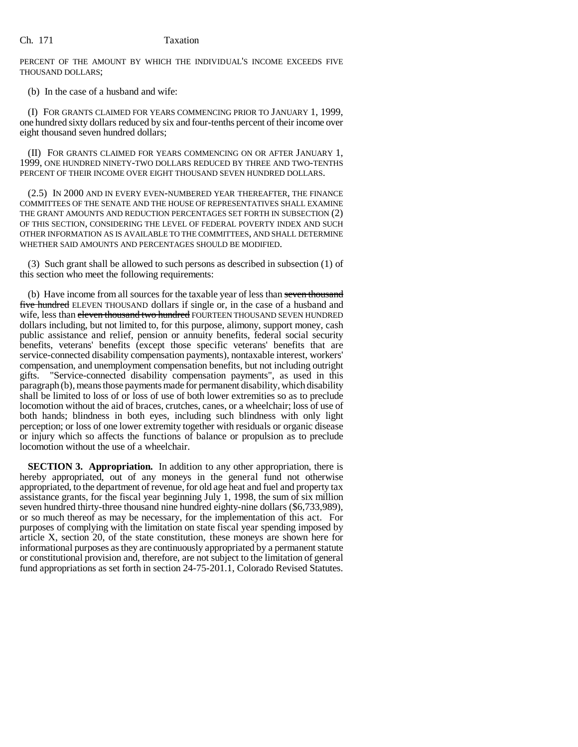PERCENT OF THE AMOUNT BY WHICH THE INDIVIDUAL'S INCOME EXCEEDS FIVE THOUSAND DOLLARS;

(b) In the case of a husband and wife:

(I) FOR GRANTS CLAIMED FOR YEARS COMMENCING PRIOR TO JANUARY 1, 1999, one hundred sixty dollars reduced by six and four-tenths percent of their income over eight thousand seven hundred dollars;

(II) FOR GRANTS CLAIMED FOR YEARS COMMENCING ON OR AFTER JANUARY 1, 1999, ONE HUNDRED NINETY-TWO DOLLARS REDUCED BY THREE AND TWO-TENTHS PERCENT OF THEIR INCOME OVER EIGHT THOUSAND SEVEN HUNDRED DOLLARS.

(2.5) IN 2000 AND IN EVERY EVEN-NUMBERED YEAR THEREAFTER, THE FINANCE COMMITTEES OF THE SENATE AND THE HOUSE OF REPRESENTATIVES SHALL EXAMINE THE GRANT AMOUNTS AND REDUCTION PERCENTAGES SET FORTH IN SUBSECTION (2) OF THIS SECTION, CONSIDERING THE LEVEL OF FEDERAL POVERTY INDEX AND SUCH OTHER INFORMATION AS IS AVAILABLE TO THE COMMITTEES, AND SHALL DETERMINE WHETHER SAID AMOUNTS AND PERCENTAGES SHOULD BE MODIFIED.

(3) Such grant shall be allowed to such persons as described in subsection (1) of this section who meet the following requirements:

(b) Have income from all sources for the taxable year of less than seven thousand five hundred ELEVEN THOUSAND dollars if single or, in the case of a husband and wife, less than eleven thousand two hundred FOURTEEN THOUSAND SEVEN HUNDRED dollars including, but not limited to, for this purpose, alimony, support money, cash public assistance and relief, pension or annuity benefits, federal social security benefits, veterans' benefits (except those specific veterans' benefits that are service-connected disability compensation payments), nontaxable interest, workers' compensation, and unemployment compensation benefits, but not including outright gifts. "Service-connected disability compensation payments", as used in this paragraph (b), means those payments made for permanent disability, which disability shall be limited to loss of or loss of use of both lower extremities so as to preclude locomotion without the aid of braces, crutches, canes, or a wheelchair; loss of use of both hands; blindness in both eyes, including such blindness with only light perception; or loss of one lower extremity together with residuals or organic disease or injury which so affects the functions of balance or propulsion as to preclude locomotion without the use of a wheelchair.

**SECTION 3. Appropriation.** In addition to any other appropriation, there is hereby appropriated, out of any moneys in the general fund not otherwise appropriated, to the department of revenue, for old age heat and fuel and property tax assistance grants, for the fiscal year beginning July 1, 1998, the sum of six million seven hundred thirty-three thousand nine hundred eighty-nine dollars (\$6,733,989), or so much thereof as may be necessary, for the implementation of this act. For purposes of complying with the limitation on state fiscal year spending imposed by article X, section 20, of the state constitution, these moneys are shown here for informational purposes as they are continuously appropriated by a permanent statute or constitutional provision and, therefore, are not subject to the limitation of general fund appropriations as set forth in section 24-75-201.1, Colorado Revised Statutes.